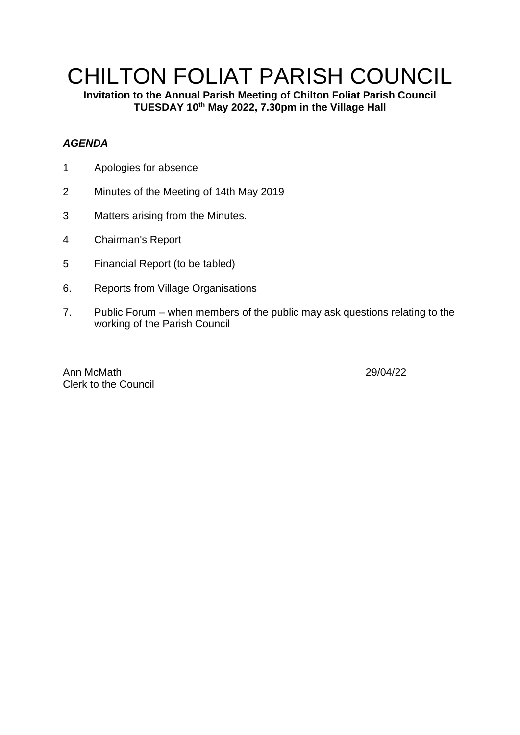## CHILTON FOLIAT PARISH COUNCIL

**Invitation to the Annual Parish Meeting of Chilton Foliat Parish Council TUESDAY 10 th May 2022, 7.30pm in the Village Hall**

## *AGENDA*

- 1 Apologies for absence
- 2 Minutes of the Meeting of 14th May 2019
- 3 Matters arising from the Minutes.
- 4 Chairman's Report
- 5 Financial Report (to be tabled)
- 6. Reports from Village Organisations
- 7. Public Forum when members of the public may ask questions relating to the working of the Parish Council

Ann McMath 29/04/22 Clerk to the Council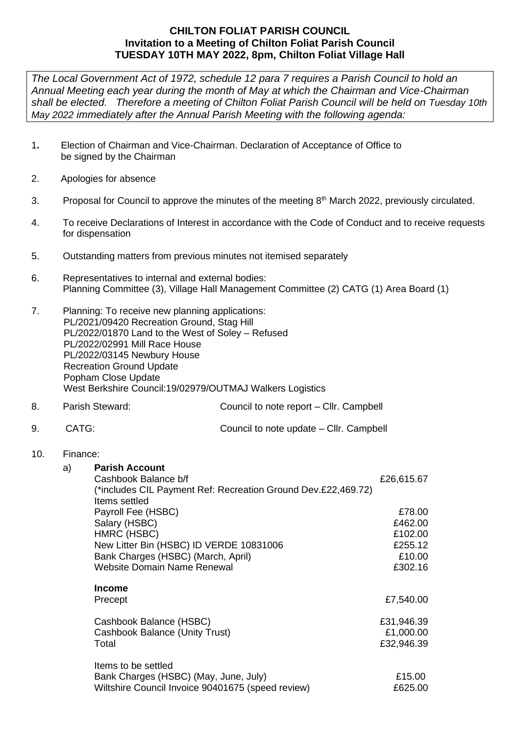## **CHILTON FOLIAT PARISH COUNCIL Invitation to a Meeting of Chilton Foliat Parish Council TUESDAY 10TH MAY 2022, 8pm, Chilton Foliat Village Hall**

*The Local Government Act of 1972, schedule 12 para 7 requires a Parish Council to hold an Annual Meeting each year during the month of May at which the Chairman and Vice-Chairman shall be elected. Therefore a meeting of Chilton Foliat Parish Council will be held on Tuesday 10th May 2022 immediately after the Annual Parish Meeting with the following agenda:*

- 1**.** Election of Chairman and Vice-Chairman. Declaration of Acceptance of Office to be signed by the Chairman
- 2. Apologies for absence
- 3. Proposal for Council to approve the minutes of the meeting 8<sup>th</sup> March 2022, previously circulated.
- 4. To receive Declarations of Interest in accordance with the Code of Conduct and to receive requests for dispensation
- 5. Outstanding matters from previous minutes not itemised separately
- 6. Representatives to internal and external bodies: Planning Committee (3), Village Hall Management Committee (2) CATG (1) Area Board (1)
- 7. Planning: To receive new planning applications: PL/2021/09420 Recreation Ground, Stag Hill PL/2022/01870 Land to the West of Soley – Refused PL/2022/02991 Mill Race House PL/2022/03145 Newbury House Recreation Ground Update Popham Close Update West Berkshire Council:19/02979/OUTMAJ Walkers Logistics
- 8. Parish Steward: Council to note report Cllr. Campbell
- 9. CATG: Council to note update Cllr. Campbell
- 10. Finance:

| a) | <b>Parish Account</b><br>Cashbook Balance b/f<br>(*includes CIL Payment Ref: Recreation Ground Dev.£22,469.72)<br>Items settled                                    | £26,615.67                                                   |
|----|--------------------------------------------------------------------------------------------------------------------------------------------------------------------|--------------------------------------------------------------|
|    | Payroll Fee (HSBC)<br>Salary (HSBC)<br>HMRC (HSBC)<br>New Litter Bin (HSBC) ID VERDE 10831006<br>Bank Charges (HSBC) (March, April)<br>Website Domain Name Renewal | £78.00<br>£462.00<br>£102.00<br>£255.12<br>£10.00<br>£302.16 |
|    | <b>Income</b><br>Precept                                                                                                                                           | £7,540.00                                                    |
|    | Cashbook Balance (HSBC)<br><b>Cashbook Balance (Unity Trust)</b><br>Total                                                                                          | £31,946.39<br>£1,000.00<br>£32,946.39                        |
|    | Items to be settled<br>Bank Charges (HSBC) (May, June, July)<br>Wiltshire Council Invoice 90401675 (speed review)                                                  | £15.00<br>£625.00                                            |